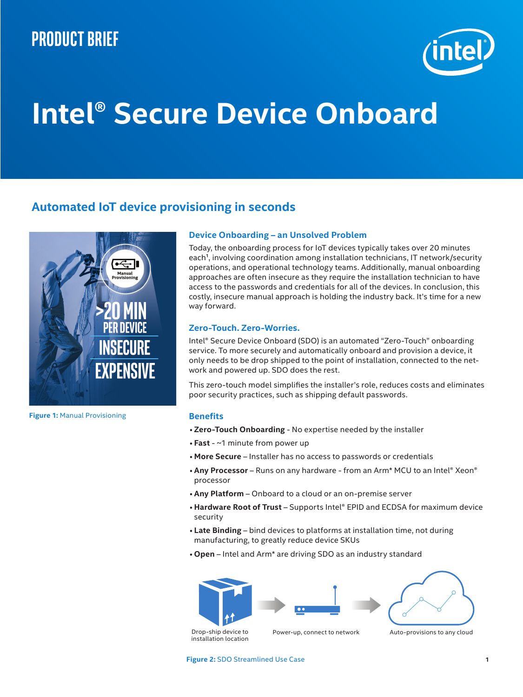## **Product brief**



# **Intel® Secure Device Onboard**

### **Automated IoT device provisioning in seconds**



**Figure 1:** Manual Provisioning

#### **Device Onboarding – an Unsolved Problem**

Today, the onboarding process for IoT devices typically takes over 20 minutes each<sup>1</sup>, involving coordination among installation technicians, IT network/security operations, and operational technology teams. Additionally, manual onboarding approaches are often insecure as they require the installation technician to have access to the passwords and credentials for all of the devices. In conclusion, this costly, insecure manual approach is holding the industry back. It's time for a new way forward.

#### **Zero-Touch. Zero-Worries.**

Intel® Secure Device Onboard (SDO) is an automated "Zero-Touch" onboarding service. To more securely and automatically onboard and provision a device, it only needs to be drop shipped to the point of installation, connected to the network and powered up. SDO does the rest.

This zero-touch model simplifies the installer's role, reduces costs and eliminates poor security practices, such as shipping default passwords.

#### **Benefits**

- **Zero-Touch Onboarding** No expertise needed by the installer
- **Fast** ~1 minute from power up
- **More Secure** Installer has no access to passwords or credentials
- **Any Processor** Runs on any hardware from an Arm\* MCU to an Intel® Xeon® processor
- **Any Platform** Onboard to a cloud or an on-premise server
- **Hardware Root of Trust** Supports Intel® EPID and ECDSA for maximum device security
- **Late Binding** bind devices to platforms at installation time, not during manufacturing, to greatly reduce device SKUs
- **Open** Intel and Arm\* are driving SDO as an industry standard







Drop-ship device to installation location

Power-up, connect to network Auto-provisions to any cloud

**Figure 2:** SDO Streamlined Use Case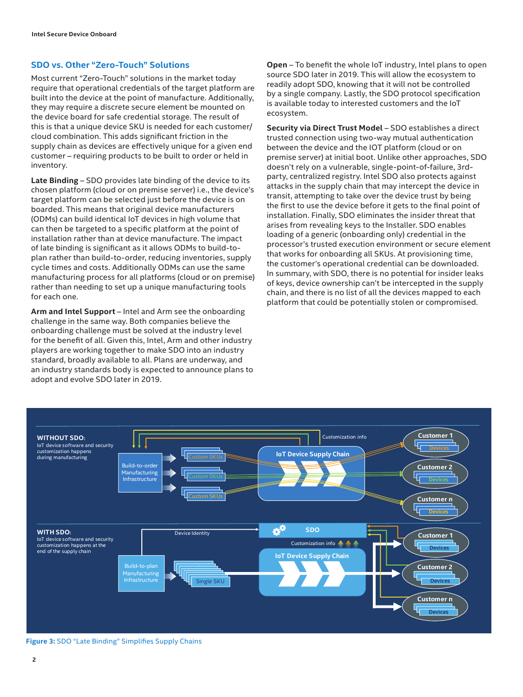#### **SDO vs. Other "Zero-Touch" Solutions**

Most current "Zero-Touch" solutions in the market today require that operational credentials of the target platform are built into the device at the point of manufacture. Additionally, they may require a discrete secure element be mounted on the device board for safe credential storage. The result of this is that a unique device SKU is needed for each customer/ cloud combination. This adds significant friction in the supply chain as devices are effectively unique for a given end customer – requiring products to be built to order or held in inventory.

**Late Binding** – SDO provides late binding of the device to its chosen platform (cloud or on premise server) i.e., the device's target platform can be selected just before the device is on boarded. This means that original device manufacturers (ODMs) can build identical IoT devices in high volume that can then be targeted to a specific platform at the point of installation rather than at device manufacture. The impact of late binding is significant as it allows ODMs to build-toplan rather than build-to-order, reducing inventories, supply cycle times and costs. Additionally ODMs can use the same manufacturing process for all platforms (cloud or on premise) rather than needing to set up a unique manufacturing tools for each one.

**Arm and Intel Support** – Intel and Arm see the onboarding challenge in the same way. Both companies believe the onboarding challenge must be solved at the industry level for the benefit of all. Given this, Intel, Arm and other industry players are working together to make SDO into an industry standard, broadly available to all. Plans are underway, and an industry standards body is expected to announce plans to adopt and evolve SDO later in 2019.

**Open** – To benefit the whole IoT industry, Intel plans to open source SDO later in 2019. This will allow the ecosystem to readily adopt SDO, knowing that it will not be controlled by a single company. Lastly, the SDO protocol specification is available today to interested customers and the IoT ecosystem.

**Security via Direct Trust Model** – SDO establishes a direct trusted connection using two-way mutual authentication between the device and the IOT platform (cloud or on premise server) at initial boot. Unlike other approaches, SDO doesn't rely on a vulnerable, single-point-of-failure, 3rdparty, centralized registry. Intel SDO also protects against attacks in the supply chain that may intercept the device in transit, attempting to take over the device trust by being the first to use the device before it gets to the final point of installation. Finally, SDO eliminates the insider threat that arises from revealing keys to the Installer. SDO enables loading of a generic (onboarding only) credential in the processor's trusted execution environment or secure element that works for onboarding all SKUs. At provisioning time, the customer's operational credential can be downloaded. In summary, with SDO, there is no potential for insider leaks of keys, device ownership can't be intercepted in the supply chain, and there is no list of all the devices mapped to each platform that could be potentially stolen or compromised.



**Figure 3:** SDO "Late Binding" Simplifies Supply Chains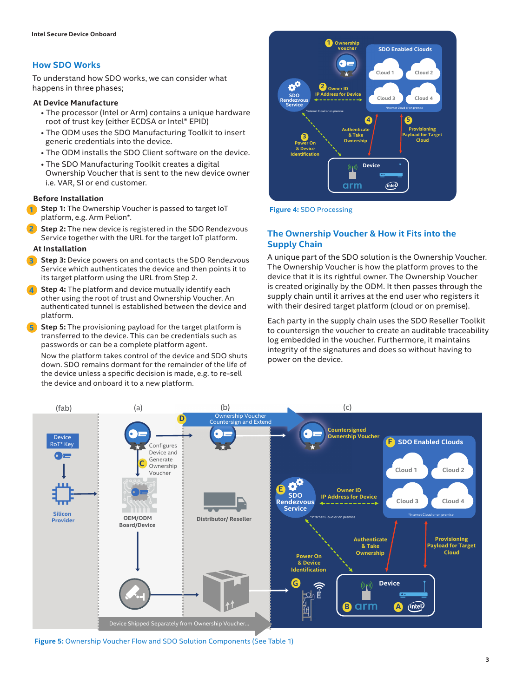#### **How SDO Works**

To understand how SDO works, we can consider what happens in three phases;

#### **At Device Manufacture**

- The processor (Intel or Arm) contains a unique hardware root of trust key (either ECDSA or Intel® EPID)
- The ODM uses the SDO Manufacturing Toolkit to insert generic credentials into the device.
- The ODM installs the SDO Client software on the device.
- The SDO Manufacturing Toolkit creates a digital Ownership Voucher that is sent to the new device owner i.e. VAR, SI or end customer.

#### **Before Installation**

- **Step 1:** The Ownership Voucher is passed to target IoT **1 Figure 4:** SDO Processing platform, e.g. Arm Pelion\*.
- **Step 2:** The new device is registered in the SDO Rendezvous Service together with the URL for the target IoT platform. **2**

#### **At Installation**

- **Step 3:** Device powers on and contacts the SDO Rendezvous Service which authenticates the device and then points it to its target platform using the URL from Step 2. **3**
- **Step 4:** The platform and device mutually identify each other using the root of trust and Ownership Voucher. An authenticated tunnel is established between the device and platform. **4**
- **Step 5:** The provisioning payload for the target platform is transferred to the device. This can be credentials such as passwords or can be a complete platform agent. **5**

Now the platform takes control of the device and SDO shuts down. SDO remains dormant for the remainder of the life of the device unless a specific decision is made, e.g. to re-sell the device and onboard it to a new platform.



#### **The Ownership Voucher & How it Fits into the Supply Chain**

A unique part of the SDO solution is the Ownership Voucher. The Ownership Voucher is how the platform proves to the device that it is its rightful owner. The Ownership Voucher is created originally by the ODM. It then passes through the supply chain until it arrives at the end user who registers it with their desired target platform (cloud or on premise).

Each party in the supply chain uses the SDO Reseller Toolkit to countersign the voucher to create an auditable traceability log embedded in the voucher. Furthermore, it maintains integrity of the signatures and does so without having to power on the device.



**Figure 5:** Ownership Voucher Flow and SDO Solution Components (See Table 1)